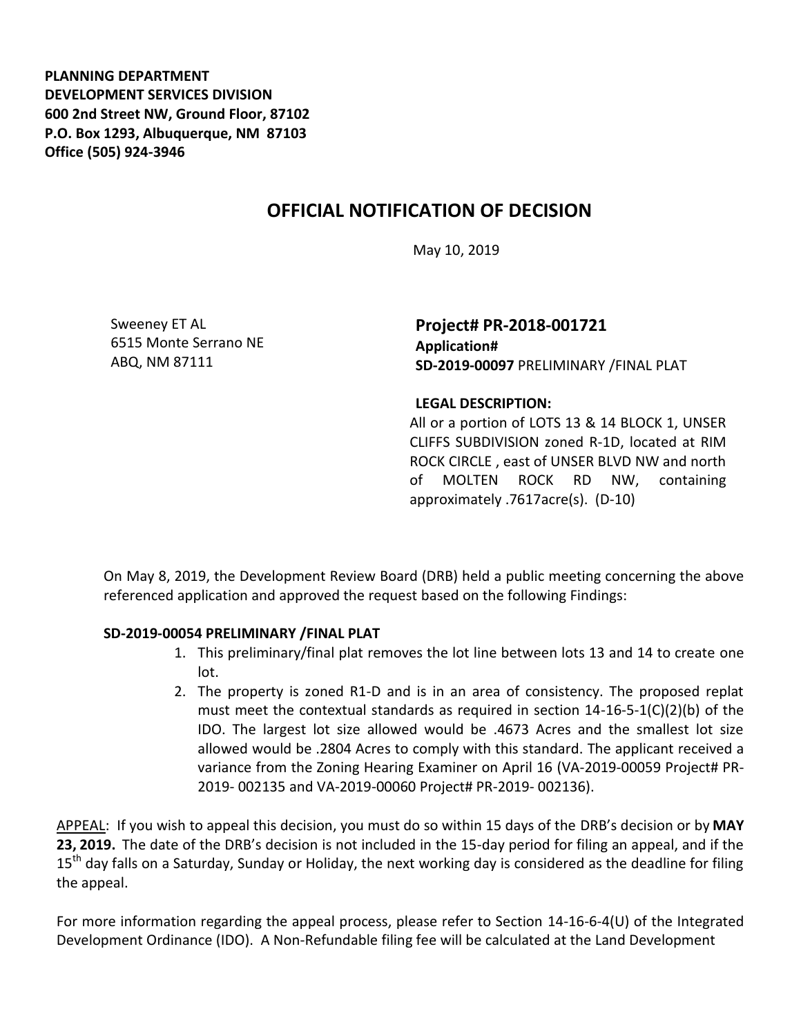**PLANNING DEPARTMENT DEVELOPMENT SERVICES DIVISION 600 2nd Street NW, Ground Floor, 87102 P.O. Box 1293, Albuquerque, NM 87103 Office (505) 924-3946** 

## **OFFICIAL NOTIFICATION OF DECISION**

May 10, 2019

Sweeney ET AL 6515 Monte Serrano NE ABQ, NM 87111

**Project# PR-2018-001721 Application# SD-2019-00097** PRELIMINARY /FINAL PLAT

**LEGAL DESCRIPTION:**

All or a portion of LOTS 13 & 14 BLOCK 1, UNSER CLIFFS SUBDIVISION zoned R-1D, located at RIM ROCK CIRCLE , east of UNSER BLVD NW and north of MOLTEN ROCK RD NW, containing approximately .7617acre(s). (D-10)

On May 8, 2019, the Development Review Board (DRB) held a public meeting concerning the above referenced application and approved the request based on the following Findings:

## **SD-2019-00054 PRELIMINARY /FINAL PLAT**

- 1. This preliminary/final plat removes the lot line between lots 13 and 14 to create one lot.
- 2. The property is zoned R1-D and is in an area of consistency. The proposed replat must meet the contextual standards as required in section  $14-16-5-1(C)(2)(b)$  of the IDO. The largest lot size allowed would be .4673 Acres and the smallest lot size allowed would be .2804 Acres to comply with this standard. The applicant received a variance from the Zoning Hearing Examiner on April 16 (VA-2019-00059 Project# PR-2019- 002135 and VA-2019-00060 Project# PR-2019- 002136).

APPEAL: If you wish to appeal this decision, you must do so within 15 days of the DRB's decision or by **MAY 23, 2019.** The date of the DRB's decision is not included in the 15-day period for filing an appeal, and if the 15<sup>th</sup> day falls on a Saturday, Sunday or Holiday, the next working day is considered as the deadline for filing the appeal.

For more information regarding the appeal process, please refer to Section 14-16-6-4(U) of the Integrated Development Ordinance (IDO). A Non-Refundable filing fee will be calculated at the Land Development